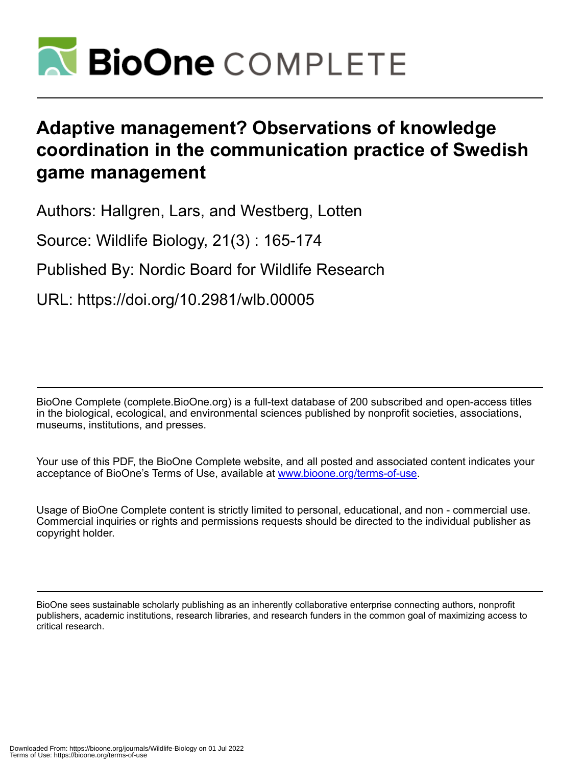

# **Adaptive management? Observations of knowledge coordination in the communication practice of Swedish game management**

Authors: Hallgren, Lars, and Westberg, Lotten

Source: Wildlife Biology, 21(3) : 165-174

Published By: Nordic Board for Wildlife Research

URL: https://doi.org/10.2981/wlb.00005

BioOne Complete (complete.BioOne.org) is a full-text database of 200 subscribed and open-access titles in the biological, ecological, and environmental sciences published by nonprofit societies, associations, museums, institutions, and presses.

Your use of this PDF, the BioOne Complete website, and all posted and associated content indicates your acceptance of BioOne's Terms of Use, available at www.bioone.org/terms-of-use.

Usage of BioOne Complete content is strictly limited to personal, educational, and non - commercial use. Commercial inquiries or rights and permissions requests should be directed to the individual publisher as copyright holder.

BioOne sees sustainable scholarly publishing as an inherently collaborative enterprise connecting authors, nonprofit publishers, academic institutions, research libraries, and research funders in the common goal of maximizing access to critical research.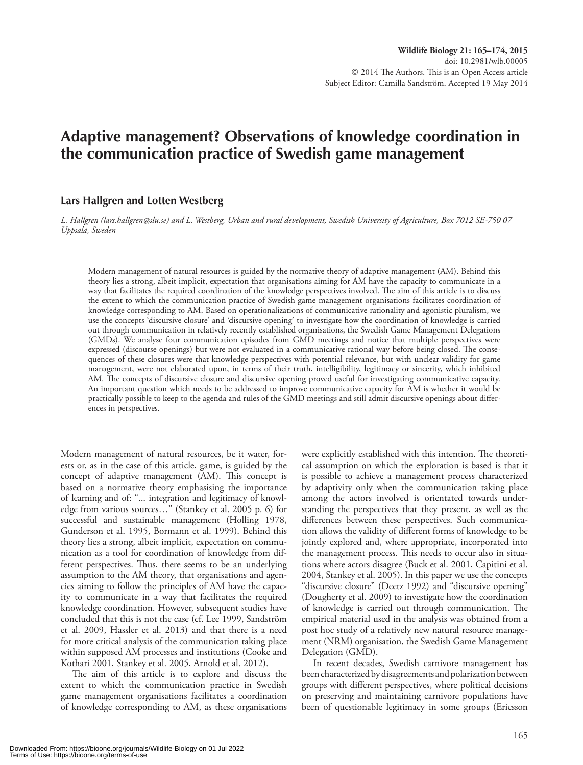# **Adaptive management? Observations of knowledge coordination in the communication practice of Swedish game management**

#### **Lars Hallgren and Lotten Westberg**

 *L. Hallgren (lars.hallgren@slu.se) and L. Westberg, Urban and rural development, Swedish University of Agriculture, Box 7012 SE-750 07 Uppsala, Sweden* 

 Modern management of natural resources is guided by the normative theory of adaptive management (AM). Behind this theory lies a strong, albeit implicit, expectation that organisations aiming for AM have the capacity to communicate in a way that facilitates the required coordination of the knowledge perspectives involved. The aim of this article is to discuss the extent to which the communication practice of Swedish game management organisations facilitates coordination of knowledge corresponding to AM. Based on operationalizations of communicative rationality and agonistic pluralism, we use the concepts 'discursive closure' and 'discursive opening' to investigate how the coordination of knowledge is carried out through communication in relatively recently established organisations, the Swedish Game Management Delegations (GMDs). We analyse four communication episodes from GMD meetings and notice that multiple perspectives were expressed (discourse openings) but were not evaluated in a communicative rational way before being closed. The consequences of these closures were that knowledge perspectives with potential relevance, but with unclear validity for game management, were not elaborated upon, in terms of their truth, intelligibility, legitimacy or sincerity, which inhibited AM. The concepts of discursive closure and discursive opening proved useful for investigating communicative capacity. An important question which needs to be addressed to improve communicative capacity for AM is whether it would be practically possible to keep to the agenda and rules of the GMD meetings and still admit discursive openings about differences in perspectives.

 Modern management of natural resources, be it water, forests or, as in the case of this article, game, is guided by the concept of adaptive management (AM). This concept is based on a normative theory emphasising the importance of learning and of: "... integration and legitimacy of knowledge from various sources … " (Stankey et al. 2005 p. 6) for successful and sustainable management (Holling 1978, Gunderson et al. 1995, Bormann et al. 1999). Behind this theory lies a strong, albeit implicit, expectation on communication as a tool for coordination of knowledge from different perspectives. Thus, there seems to be an underlying assumption to the AM theory, that organisations and agencies aiming to follow the principles of AM have the capacity to communicate in a way that facilitates the required knowledge coordination. However, subsequent studies have concluded that this is not the case (cf. Lee 1999, Sandström et al. 2009, Hassler et al. 2013) and that there is a need for more critical analysis of the communication taking place within supposed AM processes and institutions (Cooke and Kothari 2001, Stankey et al. 2005, Arnold et al. 2012).

The aim of this article is to explore and discuss the extent to which the communication practice in Swedish game management organisations facilitates a coordination of knowledge corresponding to AM, as these organisations were explicitly established with this intention. The theoretical assumption on which the exploration is based is that it is possible to achieve a management process characterized by adaptivity only when the communication taking place among the actors involved is orientated towards understanding the perspectives that they present, as well as the differences between these perspectives. Such communication allows the validity of different forms of knowledge to be jointly explored and, where appropriate, incorporated into the management process. This needs to occur also in situations where actors disagree (Buck et al. 2001, Capitini et al. 2004, Stankey et al. 2005). In this paper we use the concepts " discursive closure" (Deetz 1992) and " discursive opening" (Dougherty et al. 2009) to investigate how the coordination of knowledge is carried out through communication. The empirical material used in the analysis was obtained from a post hoc study of a relatively new natural resource management (NRM) organisation, the Swedish Game Management Delegation (GMD).

 In recent decades, Swedish carnivore management has been characterized by disagreements and polarization between groups with different perspectives, where political decisions on preserving and maintaining carnivore populations have been of questionable legitimacy in some groups (Ericsson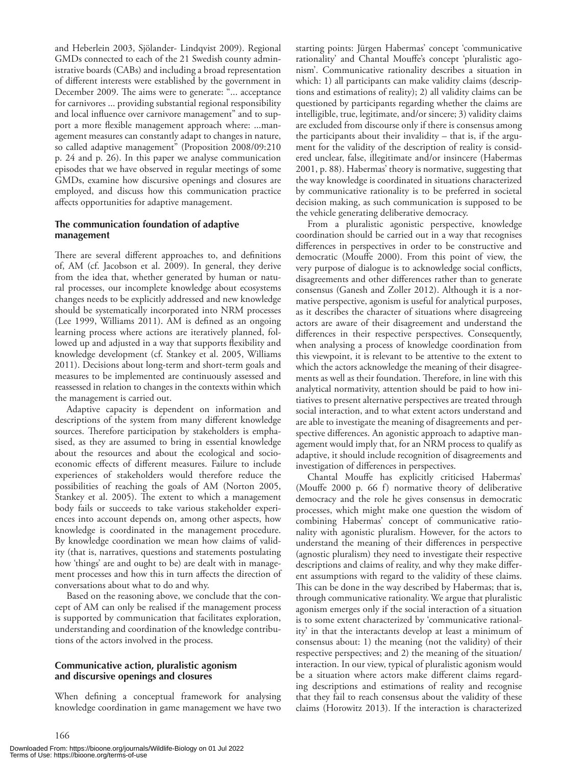and Heberlein 2003, Sjölander- Lindqvist 2009). Regional GMDs connected to each of the 21 Swedish county administrative boards (CABs) and including a broad representation of different interests were established by the government in December 2009. The aims were to generate: "... acceptance for carnivores ... providing substantial regional responsibility and local influence over carnivore management" and to support a more flexible management approach where: ...management measures can constantly adapt to changes in nature, so called adaptive management" (Proposition 2008/09:210 p. 24 and p. 26). In this paper we analyse communication episodes that we have observed in regular meetings of some GMDs, examine how discursive openings and closures are employed, and discuss how this communication practice affects opportunities for adaptive management.

#### **The communication foundation of adaptive management**

There are several different approaches to, and definitions of, AM (cf. Jacobson et al. 2009). In general, they derive from the idea that, whether generated by human or natural processes, our incomplete knowledge about ecosystems changes needs to be explicitly addressed and new knowledge should be systematically incorporated into NRM processes (Lee 1999, Williams 2011). AM is defined as an ongoing learning process where actions are iteratively planned, followed up and adjusted in a way that supports flexibility and knowledge development (cf. Stankey et al. 2005, Williams 2011). Decisions about long-term and short-term goals and measures to be implemented are continuously assessed and reassessed in relation to changes in the contexts within which the management is carried out.

 Adaptive capacity is dependent on information and descriptions of the system from many different knowledge sources. Therefore participation by stakeholders is emphasised, as they are assumed to bring in essential knowledge about the resources and about the ecological and socioeconomic effects of different measures. Failure to include experiences of stakeholders would therefore reduce the possibilities of reaching the goals of AM (Norton 2005, Stankey et al. 2005). The extent to which a management body fails or succeeds to take various stakeholder experiences into account depends on, among other aspects, how knowledge is coordinated in the management procedure. By knowledge coordination we mean how claims of validity (that is, narratives, questions and statements postulating how 'things' are and ought to be) are dealt with in management processes and how this in turn affects the direction of conversations about what to do and why.

 Based on the reasoning above, we conclude that the concept of AM can only be realised if the management process is supported by communication that facilitates exploration, understanding and coordination of the knowledge contributions of the actors involved in the process.

#### **Communicative action, pluralistic agonism and discursive openings and closures**

When defining a conceptual framework for analysing knowledge coordination in game management we have two starting points: Jürgen Habermas' concept 'communicative rationality' and Chantal Mouffe's concept 'pluralistic agonism'. Communicative rationality describes a situation in which: 1) all participants can make validity claims (descriptions and estimations of reality); 2) all validity claims can be questioned by participants regarding whether the claims are intelligible, true, legitimate, and/or sincere; 3) validity claims are excluded from discourse only if there is consensus among the participants about their invalidity – that is, if the argument for the validity of the description of reality is considered unclear, false, illegitimate and/or insincere (Habermas 2001, p. 88). Habermas' theory is normative, suggesting that the way knowledge is coordinated in situations characterized by communicative rationality is to be preferred in societal decision making, as such communication is supposed to be the vehicle generating deliberative democracy.

 From a pluralistic agonistic perspective, knowledge coordination should be carried out in a way that recognises differences in perspectives in order to be constructive and democratic (Mouffe 2000). From this point of view, the very purpose of dialogue is to acknowledge social conflicts, disagreements and other differences rather than to generate consensus (Ganesh and Zoller 2012). Although it is a normative perspective, agonism is useful for analytical purposes, as it describes the character of situations where disagreeing actors are aware of their disagreement and understand the differences in their respective perspectives. Consequently, when analysing a process of knowledge coordination from this viewpoint, it is relevant to be attentive to the extent to which the actors acknowledge the meaning of their disagreements as well as their foundation. Therefore, in line with this analytical normativity, attention should be paid to how initiatives to present alternative perspectives are treated through social interaction, and to what extent actors understand and are able to investigate the meaning of disagreements and perspective differences. An agonistic approach to adaptive management would imply that, for an NRM process to qualify as adaptive, it should include recognition of disagreements and investigation of differences in perspectives.

Chantal Mouffe has explicitly criticised Habermas' (Mouffe 2000 p.  $66 \text{ f}$ ) normative theory of deliberative democracy and the role he gives consensus in democratic processes, which might make one question the wisdom of combining Habermas' concept of communicative rationality with agonistic pluralism. However, for the actors to understand the meaning of their differences in perspective (agnostic pluralism) they need to investigate their respective descriptions and claims of reality, and why they make different assumptions with regard to the validity of these claims. This can be done in the way described by Habermas; that is, through communicative rationality. We argue that pluralistic agonism emerges only if the social interaction of a situation is to some extent characterized by 'communicative rationality' in that the interactants develop at least a minimum of consensus about: 1) the meaning (not the validity) of their respective perspectives; and 2) the meaning of the situation/ interaction. In our view, typical of pluralistic agonism would be a situation where actors make different claims regarding descriptions and estimations of reality and recognise that they fail to reach consensus about the validity of these claims (Horowitz 2013). If the interaction is characterized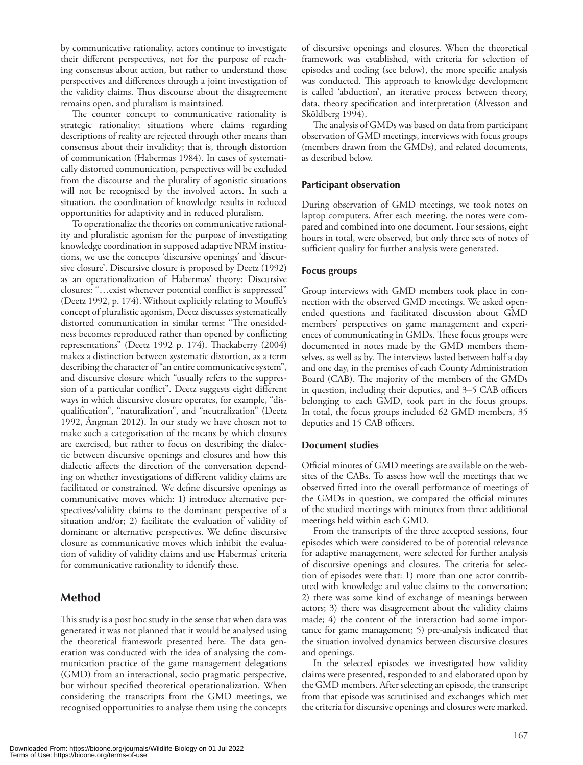by communicative rationality, actors continue to investigate their different perspectives, not for the purpose of reaching consensus about action, but rather to understand those perspectives and differences through a joint investigation of the validity claims. Thus discourse about the disagreement remains open, and pluralism is maintained.

The counter concept to communicative rationality is strategic rationality; situations where claims regarding descriptions of reality are rejected through other means than consensus about their invalidity; that is, through distortion of communication (Habermas 1984). In cases of systematically distorted communication, perspectives will be excluded from the discourse and the plurality of agonistic situations will not be recognised by the involved actors. In such a situation, the coordination of knowledge results in reduced opportunities for adaptivity and in reduced pluralism.

 To operationalize the theories on communicative rationality and pluralistic agonism for the purpose of investigating knowledge coordination in supposed adaptive NRM institutions, we use the concepts 'discursive openings' and 'discursive closure'. Discursive closure is proposed by Deetz (1992) as an operationalization of Habermas' theory: Discursive closures: "...exist whenever potential conflict is suppressed" (Deetz 1992, p. 174). Without explicitly relating to Mouffe's concept of pluralistic agonism, Deetz discusses systematically distorted communication in similar terms: "The onesidedness becomes reproduced rather than opened by conflicting representations" (Deetz 1992 p. 174). Thackaberry (2004) makes a distinction between systematic distortion, as a term describing the character of "an entire communicative system", and discursive closure which "usually refers to the suppression of a particular conflict". Deetz suggests eight different ways in which discursive closure operates, for example, " disqualification", "naturalization", and "neutralization" (Deetz 1992, Å ngman 2012). In our study we have chosen not to make such a categorisation of the means by which closures are exercised, but rather to focus on describing the dialectic between discursive openings and closures and how this dialectic affects the direction of the conversation depending on whether investigations of different validity claims are facilitated or constrained. We define discursive openings as communicative moves which: 1) introduce alternative perspectives/validity claims to the dominant perspective of a situation and/or; 2) facilitate the evaluation of validity of dominant or alternative perspectives. We define discursive closure as communicative moves which inhibit the evaluation of validity of validity claims and use Habermas' criteria for communicative rationality to identify these.

# **Method**

This study is a post hoc study in the sense that when data was generated it was not planned that it would be analysed using the theoretical framework presented here. The data generation was conducted with the idea of analysing the communication practice of the game management delegations (GMD) from an interactional, socio pragmatic perspective, but without specified theoretical operationalization. When considering the transcripts from the GMD meetings, we recognised opportunities to analyse them using the concepts of discursive openings and closures. When the theoretical framework was established, with criteria for selection of episodes and coding (see below), the more specific analysis was conducted. This approach to knowledge development is called 'abduction', an iterative process between theory, data, theory specification and interpretation (Alvesson and Sköldberg 1994).

The analysis of GMDs was based on data from participant observation of GMD meetings, interviews with focus groups (members drawn from the GMDs), and related documents, as described below.

### **Participant observation**

 During observation of GMD meetings, we took notes on laptop computers. After each meeting, the notes were compared and combined into one document. Four sessions, eight hours in total, were observed, but only three sets of notes of sufficient quality for further analysis were generated.

#### **Focus groups**

 Group interviews with GMD members took place in connection with the observed GMD meetings. We asked openended questions and facilitated discussion about GMD members' perspectives on game management and experiences of communicating in GMDs. These focus groups were documented in notes made by the GMD members themselves, as well as by. The interviews lasted between half a day and one day, in the premises of each County Administration Board (CAB). The majority of the members of the GMDs in question, including their deputies, and 3–5 CAB officers belonging to each GMD, took part in the focus groups. In total, the focus groups included 62 GMD members, 35 deputies and 15 CAB officers.

#### **Document studies**

Official minutes of GMD meetings are available on the websites of the CABs. To assess how well the meetings that we observed fitted into the overall performance of meetings of the GMDs in question, we compared the official minutes of the studied meetings with minutes from three additional meetings held within each GMD.

 From the transcripts of the three accepted sessions, four episodes which were considered to be of potential relevance for adaptive management, were selected for further analysis of discursive openings and closures. The criteria for selection of episodes were that: 1) more than one actor contributed with knowledge and value claims to the conversation; 2) there was some kind of exchange of meanings between actors; 3) there was disagreement about the validity claims made; 4) the content of the interaction had some importance for game management; 5) pre-analysis indicated that the situation involved dynamics between discursive closures and openings.

 In the selected episodes we investigated how validity claims were presented, responded to and elaborated upon by the GMD members. After selecting an episode, the transcript from that episode was scrutinised and exchanges which met the criteria for discursive openings and closures were marked.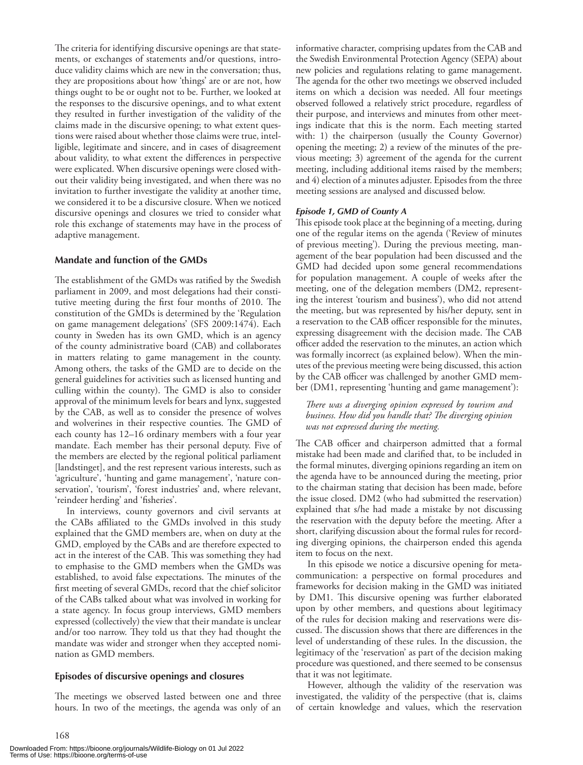The criteria for identifying discursive openings are that statements, or exchanges of statements and/or questions, introduce validity claims which are new in the conversation; thus, they are propositions about how 'things' are or are not, how things ought to be or ought not to be. Further, we looked at the responses to the discursive openings, and to what extent they resulted in further investigation of the validity of the claims made in the discursive opening; to what extent questions were raised about whether those claims were true, intelligible, legitimate and sincere, and in cases of disagreement about validity, to what extent the differences in perspective were explicated. When discursive openings were closed without their validity being investigated, and when there was no invitation to further investigate the validity at another time, we considered it to be a discursive closure. When we noticed discursive openings and closures we tried to consider what role this exchange of statements may have in the process of adaptive management.

#### **Mandate and function of the GMDs**

The establishment of the GMDs was ratified by the Swedish parliament in 2009, and most delegations had their constitutive meeting during the first four months of 2010. The constitution of the GMDs is determined by the 'Regulation on game management delegations' (SFS 2009:1474). Each county in Sweden has its own GMD, which is an agency of the county administrative board (CAB) and collaborates in matters relating to game management in the county. Among others, the tasks of the GMD are to decide on the general guidelines for activities such as licensed hunting and culling within the county). The GMD is also to consider approval of the minimum levels for bears and lynx, suggested by the CAB, as well as to consider the presence of wolves and wolverines in their respective counties. The GMD of each county has 12–16 ordinary members with a four year mandate. Each member has their personal deputy. Five of the members are elected by the regional political parliament [landstinget], and the rest represent various interests, such as 'agriculture', 'hunting and game management', 'nature conservation', 'tourism', 'forest industries' and, where relevant, ' reindeer herding' and 'fisheries'.

 In interviews, county governors and civil servants at the CABs affiliated to the GMDs involved in this study explained that the GMD members are, when on duty at the GMD, employed by the CABs and are therefore expected to act in the interest of the CAB. This was something they had to emphasise to the GMD members when the GMDs was established, to avoid false expectations. The minutes of the first meeting of several GMDs, record that the chief solicitor of the CABs talked about what was involved in working for a state agency. In focus group interviews, GMD members expressed (collectively) the view that their mandate is unclear and/or too narrow. They told us that they had thought the mandate was wider and stronger when they accepted nomination as GMD members.

#### **Episodes of discursive openings and closures**

The meetings we observed lasted between one and three hours. In two of the meetings, the agenda was only of an informative character, comprising updates from the CAB and the Swedish Environmental Protection Agency (SEPA) about new policies and regulations relating to game management. The agenda for the other two meetings we observed included items on which a decision was needed. All four meetings observed followed a relatively strict procedure, regardless of their purpose, and interviews and minutes from other meetings indicate that this is the norm. Each meeting started with: 1) the chairperson (usually the County Governor) opening the meeting; 2) a review of the minutes of the previous meeting; 3) agreement of the agenda for the current meeting, including additional items raised by the members; and 4) election of a minutes adjuster. Episodes from the three meeting sessions are analysed and discussed below.

#### *Episode 1, GMD of County A*

This episode took place at the beginning of a meeting, during one of the regular items on the agenda ('Review of minutes of previous meeting'). During the previous meeting, management of the bear population had been discussed and the GMD had decided upon some general recommendations for population management. A couple of weeks after the meeting, one of the delegation members (DM2, representing the interest 'tourism and business'), who did not attend the meeting, but was represented by his/her deputy, sent in a reservation to the CAB officer responsible for the minutes, expressing disagreement with the decision made. The CAB officer added the reservation to the minutes, an action which was formally incorrect (as explained below). When the minutes of the previous meeting were being discussed, this action by the CAB officer was challenged by another GMD member (DM1, representing 'hunting and game management'):

*There was a diverging opinion expressed by tourism and business. How did you handle that? The diverging opinion was not expressed during the meeting.*

The CAB officer and chairperson admitted that a formal mistake had been made and clarified that, to be included in the formal minutes, diverging opinions regarding an item on the agenda have to be announced during the meeting, prior to the chairman stating that decision has been made, before the issue closed. DM2 (who had submitted the reservation) explained that s/he had made a mistake by not discussing the reservation with the deputy before the meeting. After a short, clarifying discussion about the formal rules for recording diverging opinions, the chairperson ended this agenda item to focus on the next.

 In this episode we notice a discursive opening for metacommunication: a perspective on formal procedures and frameworks for decision making in the GMD was initiated by DM1. This discursive opening was further elaborated upon by other members, and questions about legitimacy of the rules for decision making and reservations were discussed. The discussion shows that there are differences in the level of understanding of these rules. In the discussion, the legitimacy of the 'reservation' as part of the decision making procedure was questioned, and there seemed to be consensus that it was not legitimate.

 However, although the validity of the reservation was investigated, the validity of the perspective (that is, claims of certain knowledge and values, which the reservation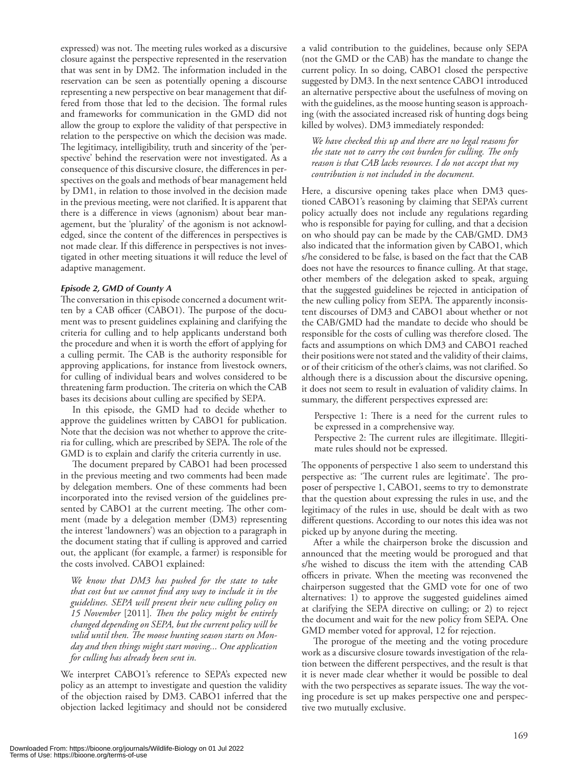expressed) was not. The meeting rules worked as a discursive closure against the perspective represented in the reservation that was sent in by DM2. The information included in the reservation can be seen as potentially opening a discourse representing a new perspective on bear management that differed from those that led to the decision. The formal rules and frameworks for communication in the GMD did not allow the group to explore the validity of that perspective in relation to the perspective on which the decision was made. The legitimacy, intelligibility, truth and sincerity of the 'perspective' behind the reservation were not investigated. As a consequence of this discursive closure, the differences in perspectives on the goals and methods of bear management held by DM1, in relation to those involved in the decision made in the previous meeting, were not clarified. It is apparent that there is a difference in views (agnonism) about bear management, but the 'plurality' of the agonism is not acknowledged, since the content of the differences in perspectives is not made clear. If this difference in perspectives is not investigated in other meeting situations it will reduce the level of adaptive management.

#### *Episode 2, GMD of County A*

The conversation in this episode concerned a document written by a CAB officer (CABO1). The purpose of the document was to present guidelines explaining and clarifying the criteria for culling and to help applicants understand both the procedure and when it is worth the effort of applying for a culling permit. The CAB is the authority responsible for approving applications, for instance from livestock owners, for culling of individual bears and wolves considered to be threatening farm production. The criteria on which the CAB bases its decisions about culling are specified by SEPA.

 In this episode, the GMD had to decide whether to approve the guidelines written by CABO1 for publication. Note that the decision was not whether to approve the criteria for culling, which are prescribed by SEPA. The role of the GMD is to explain and clarify the criteria currently in use.

The document prepared by CABO1 had been processed in the previous meeting and two comments had been made by delegation members. One of these comments had been incorporated into the revised version of the guidelines presented by CABO1 at the current meeting. The other comment (made by a delegation member (DM3) representing the interest 'landowners') was an objection to a paragraph in the document stating that if culling is approved and carried out, the applicant (for example, a farmer) is responsible for the costs involved. CABO1 explained:

*We know that DM3 has pushed for the state to take that cost but we cannot find any way to include it in the guidelines. SEPA will present their new culling policy on*  15 November [2011]. Then the policy might be entirely *changed depending on SEPA, but the current policy will be*  valid until then. The moose hunting season starts on Mon*day and then things might start moving... One application for culling has already been sent in.*

We interpret CABO1's reference to SEPA's expected new policy as an attempt to investigate and question the validity of the objection raised by DM3. CABO1 inferred that the objection lacked legitimacy and should not be considered a valid contribution to the guidelines, because only SEPA (not the GMD or the CAB) has the mandate to change the current policy. In so doing, CABO1 closed the perspective suggested by DM3. In the next sentence CABO1 introduced an alternative perspective about the usefulness of moving on with the guidelines, as the moose hunting season is approaching (with the associated increased risk of hunting dogs being killed by wolves). DM3 immediately responded:

*We have checked this up and there are no legal reasons for the state not to carry the cost burden for culling. The only reason is that CAB lacks resources. I do not accept that my contribution is not included in the document.*

 Here, a discursive opening takes place when DM3 questioned CABO1's reasoning by claiming that SEPA's current policy actually does not include any regulations regarding who is responsible for paying for culling, and that a decision on who should pay can be made by the CAB/GMD. DM3 also indicated that the information given by CABO1, which s/he considered to be false, is based on the fact that the CAB does not have the resources to finance culling. At that stage, other members of the delegation asked to speak, arguing that the suggested guidelines be rejected in anticipation of the new culling policy from SEPA. The apparently inconsistent discourses of DM3 and CABO1 about whether or not the CAB/GMD had the mandate to decide who should be responsible for the costs of culling was therefore closed. The facts and assumptions on which DM3 and CABO1 reached their positions were not stated and the validity of their claims, or of their criticism of the other's claims, was not clarified. So although there is a discussion about the discursive opening, it does not seem to result in evaluation of validity claims. In summary, the different perspectives expressed are:

Perspective 1: There is a need for the current rules to be expressed in a comprehensive way.

Perspective 2: The current rules are illegitimate. Illegitimate rules should not be expressed.

The opponents of perspective 1 also seem to understand this perspective as: 'The current rules are legitimate'. The proposer of perspective 1, CABO1, seems to try to demonstrate that the question about expressing the rules in use, and the legitimacy of the rules in use, should be dealt with as two different questions. According to our notes this idea was not picked up by anyone during the meeting.

 After a while the chairperson broke the discussion and announced that the meeting would be prorogued and that s/he wished to discuss the item with the attending CAB officers in private. When the meeting was reconvened the chairperson suggested that the GMD vote for one of two alternatives: 1) to approve the suggested guidelines aimed at clarifying the SEPA directive on culling; or 2) to reject the document and wait for the new policy from SEPA. One GMD member voted for approval, 12 for rejection.

The prorogue of the meeting and the voting procedure work as a discursive closure towards investigation of the relation between the different perspectives, and the result is that it is never made clear whether it would be possible to deal with the two perspectives as separate issues. The way the voting procedure is set up makes perspective one and perspective two mutually exclusive.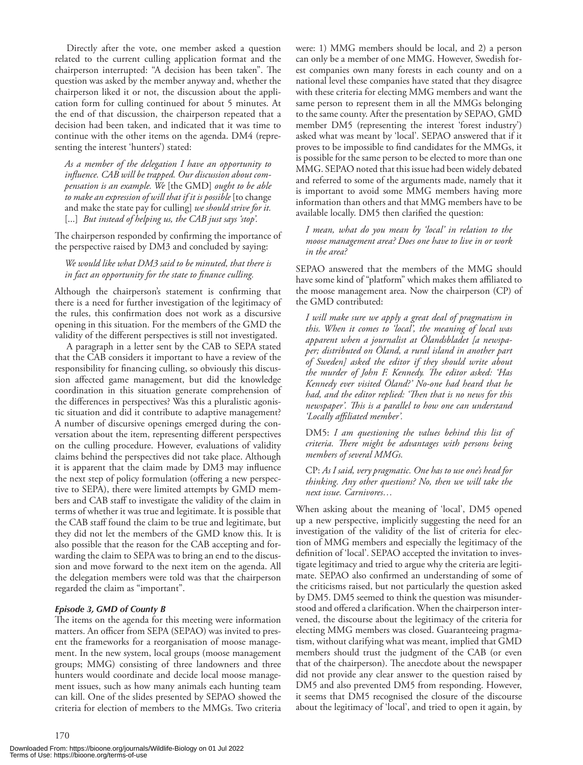Directly after the vote, one member asked a question related to the current culling application format and the chairperson interrupted: "A decision has been taken". The question was asked by the member anyway and, whether the chairperson liked it or not, the discussion about the application form for culling continued for about 5 minutes. At the end of that discussion, the chairperson repeated that a decision had been taken, and indicated that it was time to continue with the other items on the agenda. DM4 (representing the interest 'hunters') stated:

*As a member of the delegation I have an opportunity to*  influence. CAB will be trapped. Our discussion about com*pensation is an example. We* [the GMD] *ought to be able to make an expression of will that if it is possible* [to change and make the state pay for culling] *we should strive for it.* [...] *But instead of helping us, the CAB just says 'stop'.* 

The chairperson responded by confirming the importance of the perspective raised by DM3 and concluded by saying:

*We would like what DM3 said to be minuted, that there is*  in fact an opportunity for the state to finance culling.

Although the chairperson's statement is confirming that there is a need for further investigation of the legitimacy of the rules, this confirmation does not work as a discursive opening in this situation. For the members of the GMD the validity of the different perspectives is still not investigated.

 A paragraph in a letter sent by the CAB to SEPA stated that the CAB considers it important to have a review of the responsibility for financing culling, so obviously this discussion aff ected game management, but did the knowledge coordination in this situation generate comprehension of the differences in perspectives? Was this a pluralistic agonistic situation and did it contribute to adaptive management? A number of discursive openings emerged during the conversation about the item, representing different perspectives on the culling procedure. However, evaluations of validity claims behind the perspectives did not take place. Although it is apparent that the claim made by DM3 may influence the next step of policy formulation (offering a new perspective to SEPA), there were limited attempts by GMD members and CAB staff to investigate the validity of the claim in terms of whether it was true and legitimate. It is possible that the CAB staff found the claim to be true and legitimate, but they did not let the members of the GMD know this. It is also possible that the reason for the CAB accepting and forwarding the claim to SEPA was to bring an end to the discussion and move forward to the next item on the agenda. All the delegation members were told was that the chairperson regarded the claim as "important".

#### *Episode 3, GMD of County B*

The items on the agenda for this meeting were information matters. An officer from SEPA (SEPAO) was invited to present the frameworks for a reorganisation of moose management. In the new system, local groups (moose management groups; MMG) consisting of three landowners and three hunters would coordinate and decide local moose management issues, such as how many animals each hunting team can kill. One of the slides presented by SEPAO showed the criteria for election of members to the MMGs. Two criteria were: 1) MMG members should be local, and 2) a person can only be a member of one MMG. However, Swedish forest companies own many forests in each county and on a national level these companies have stated that they disagree with these criteria for electing MMG members and want the same person to represent them in all the MMGs belonging to the same county. After the presentation by SEPAO, GMD member DM5 (representing the interest 'forest industry') asked what was meant by 'local'. SEPAO answered that if it proves to be impossible to find candidates for the MMGs, it is possible for the same person to be elected to more than one MMG. SEPAO noted that this issue had been widely debated and referred to some of the arguments made, namely that it is important to avoid some MMG members having more information than others and that MMG members have to be available locally. DM5 then clarified the question:

*I mean, what do you mean by ' local ' in relation to the moose management area? Does one have to live in or work in the area?*

 SEPAO answered that the members of the MMG should have some kind of "platform" which makes them affiliated to the moose management area. Now the chairperson (CP) of the GMD contributed:

*I will make sure we apply a great deal of pragmatism in this. When it comes to ' local ' , the meaning of local was apparent when a journalist at Ö landsbladet [a newspaper; distributed on Ö land, a rural island in another part of Sweden] asked the editor if they should write about*  the murder of John F. Kennedy. The editor asked: 'Has *Kennedy ever visited Ö land? ' No-one had heard that he had, and the editor replied: 'Then that is no news for this newspaper ' . Th is is a parallel to how one can understand ' Locally affi liated member ' .*

 DM5: *I am questioning the values behind this list of criteria. Th ere might be advantages with persons being members of several MMGs.*

CP: As I said, very pragmatic. One has to use one's head for *thinking. Any other questions? No, then we will take the next issue. Carnivores …* 

When asking about the meaning of 'local', DM5 opened up a new perspective, implicitly suggesting the need for an investigation of the validity of the list of criteria for election of MMG members and especially the legitimacy of the definition of 'local'. SEPAO accepted the invitation to investigate legitimacy and tried to argue why the criteria are legitimate. SEPAO also confirmed an understanding of some of the criticisms raised, but not particularly the question asked by DM5. DM5 seemed to think the question was misunderstood and offered a clarification. When the chairperson intervened, the discourse about the legitimacy of the criteria for electing MMG members was closed. Guaranteeing pragmatism, without clarifying what was meant, implied that GMD members should trust the judgment of the CAB (or even that of the chairperson). The anecdote about the newspaper did not provide any clear answer to the question raised by DM5 and also prevented DM5 from responding. However, it seems that DM5 recognised the closure of the discourse about the legitimacy of 'local', and tried to open it again, by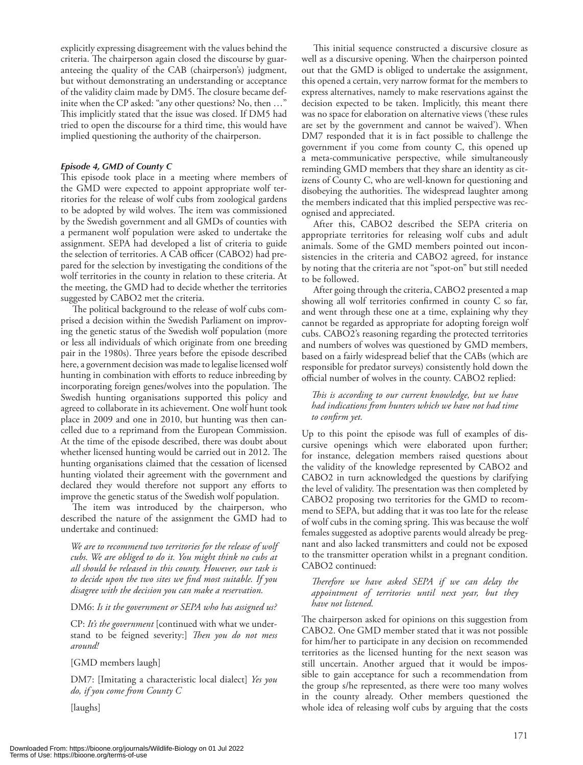explicitly expressing disagreement with the values behind the criteria. The chairperson again closed the discourse by guaranteeing the quality of the CAB (chairperson's) judgment, but without demonstrating an understanding or acceptance of the validity claim made by DM5. The closure became definite when the CP asked: "any other questions? No, then ..." This implicitly stated that the issue was closed. If DM5 had tried to open the discourse for a third time, this would have implied questioning the authority of the chairperson.

#### *Episode 4, GMD of County C*

This episode took place in a meeting where members of the GMD were expected to appoint appropriate wolf territories for the release of wolf cubs from zoological gardens to be adopted by wild wolves. The item was commissioned by the Swedish government and all GMDs of counties with a permanent wolf population were asked to undertake the assignment. SEPA had developed a list of criteria to guide the selection of territories. A CAB officer (CABO2) had prepared for the selection by investigating the conditions of the wolf territories in the county in relation to these criteria. At the meeting, the GMD had to decide whether the territories suggested by CABO2 met the criteria.

The political background to the release of wolf cubs comprised a decision within the Swedish Parliament on improving the genetic status of the Swedish wolf population (more or less all individuals of which originate from one breeding pair in the 1980s). Three years before the episode described here, a government decision was made to legalise licensed wolf hunting in combination with efforts to reduce inbreeding by incorporating foreign genes/wolves into the population. The Swedish hunting organisations supported this policy and agreed to collaborate in its achievement. One wolf hunt took place in 2009 and one in 2010, but hunting was then cancelled due to a reprimand from the European Commission. At the time of the episode described, there was doubt about whether licensed hunting would be carried out in 2012. The hunting organisations claimed that the cessation of licensed hunting violated their agreement with the government and declared they would therefore not support any efforts to improve the genetic status of the Swedish wolf population.

The item was introduced by the chairperson, who described the nature of the assignment the GMD had to undertake and continued:

*We are to recommend two territories for the release of wolf cubs. We are obliged to do it. You might think no cubs at all should be released in this county. However, our task is*  to decide upon the two sites we find most suitable. If you *disagree with the decision you can make a reservation.*

DM6: *Is it the government or SEPA who has assigned us?*

CP: *It's the government* [continued with what we understand to be feigned severity:] *Then you do not mess around!*

[GMD members laugh]

 DM7: [Imitating a characteristic local dialect] *Yes you do, if you come from County C*

[laughs]

This initial sequence constructed a discursive closure as well as a discursive opening. When the chairperson pointed out that the GMD is obliged to undertake the assignment, this opened a certain, very narrow format for the members to express alternatives, namely to make reservations against the decision expected to be taken. Implicitly, this meant there was no space for elaboration on alternative views ('these rules are set by the government and cannot be waived'). When DM7 responded that it is in fact possible to challenge the government if you come from county C, this opened up a meta-communicative perspective, while simultaneously reminding GMD members that they share an identity as citizens of County C, who are well-known for questioning and disobeying the authorities. The widespread laughter among the members indicated that this implied perspective was recognised and appreciated.

 After this, CABO2 described the SEPA criteria on appropriate territories for releasing wolf cubs and adult animals. Some of the GMD members pointed out inconsistencies in the criteria and CABO2 agreed, for instance by noting that the criteria are not "spot-on" but still needed to be followed.

 After going through the criteria, CABO2 presented a map showing all wolf territories confirmed in county  $C$  so far, and went through these one at a time, explaining why they cannot be regarded as appropriate for adopting foreign wolf cubs. CABO2's reasoning regarding the protected territories and numbers of wolves was questioned by GMD members, based on a fairly widespread belief that the CABs (which are responsible for predator surveys) consistently hold down the official number of wolves in the county. CABO2 replied:

*This is according to our current knowledge, but we have had indications from hunters which we have not had time*  to confirm yet.

 Up to this point the episode was full of examples of discursive openings which were elaborated upon further; for instance, delegation members raised questions about the validity of the knowledge represented by CABO2 and CABO2 in turn acknowledged the questions by clarifying the level of validity. The presentation was then completed by CABO2 proposing two territories for the GMD to recommend to SEPA, but adding that it was too late for the release of wolf cubs in the coming spring. This was because the wolf females suggested as adoptive parents would already be pregnant and also lacked transmitters and could not be exposed to the transmitter operation whilst in a pregnant condition. CABO2 continued:

*Th erefore we have asked SEPA if we can delay the appointment of territories until next year, but they have not listened.*

The chairperson asked for opinions on this suggestion from CABO2. One GMD member stated that it was not possible for him/her to participate in any decision on recommended territories as the licensed hunting for the next season was still uncertain. Another argued that it would be impossible to gain acceptance for such a recommendation from the group s/he represented, as there were too many wolves in the county already. Other members questioned the whole idea of releasing wolf cubs by arguing that the costs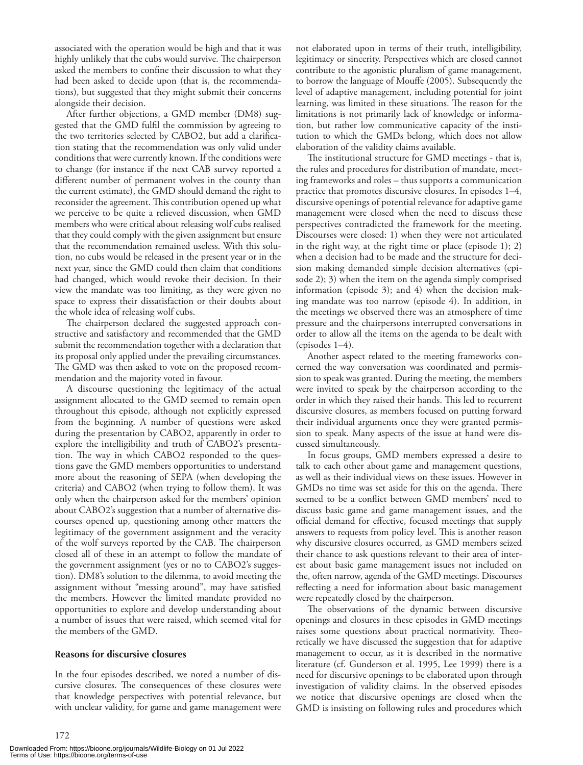associated with the operation would be high and that it was highly unlikely that the cubs would survive. The chairperson asked the members to confine their discussion to what they had been asked to decide upon (that is, the recommendations), but suggested that they might submit their concerns alongside their decision.

 After further objections, a GMD member (DM8) suggested that the GMD fulfil the commission by agreeing to the two territories selected by CABO2, but add a clarification stating that the recommendation was only valid under conditions that were currently known. If the conditions were to change (for instance if the next CAB survey reported a different number of permanent wolves in the county than the current estimate), the GMD should demand the right to reconsider the agreement. This contribution opened up what we perceive to be quite a relieved discussion, when GMD members who were critical about releasing wolf cubs realised that they could comply with the given assignment but ensure that the recommendation remained useless. With this solution, no cubs would be released in the present year or in the next year, since the GMD could then claim that conditions had changed, which would revoke their decision. In their view the mandate was too limiting, as they were given no space to express their dissatisfaction or their doubts about the whole idea of releasing wolf cubs.

The chairperson declared the suggested approach constructive and satisfactory and recommended that the GMD submit the recommendation together with a declaration that its proposal only applied under the prevailing circumstances. The GMD was then asked to vote on the proposed recommendation and the majority voted in favour.

 A discourse questioning the legitimacy of the actual assignment allocated to the GMD seemed to remain open throughout this episode, although not explicitly expressed from the beginning. A number of questions were asked during the presentation by CABO2, apparently in order to explore the intelligibility and truth of CABO2's presentation. The way in which CABO2 responded to the questions gave the GMD members opportunities to understand more about the reasoning of SEPA (when developing the criteria) and CABO2 (when trying to follow them). It was only when the chairperson asked for the members' opinion about CABO2's suggestion that a number of alternative discourses opened up, questioning among other matters the legitimacy of the government assignment and the veracity of the wolf surveys reported by the CAB. The chairperson closed all of these in an attempt to follow the mandate of the government assignment (yes or no to CABO2's suggestion). DM8's solution to the dilemma, to avoid meeting the assignment without "messing around", may have satisfied the members. However the limited mandate provided no opportunities to explore and develop understanding about a number of issues that were raised, which seemed vital for the members of the GMD.

#### **Reasons for discursive closures**

 In the four episodes described, we noted a number of discursive closures. The consequences of these closures were that knowledge perspectives with potential relevance, but with unclear validity, for game and game management were not elaborated upon in terms of their truth, intelligibility, legitimacy or sincerity. Perspectives which are closed cannot contribute to the agonistic pluralism of game management, to borrow the language of Mouffe (2005). Subsequently the level of adaptive management, including potential for joint learning, was limited in these situations. The reason for the limitations is not primarily lack of knowledge or information, but rather low communicative capacity of the institution to which the GMDs belong, which does not allow elaboration of the validity claims available.

The institutional structure for GMD meetings - that is, the rules and procedures for distribution of mandate, meeting frameworks and roles – thus supports a communication practice that promotes discursive closures. In episodes 1-4, discursive openings of potential relevance for adaptive game management were closed when the need to discuss these perspectives contradicted the framework for the meeting. Discourses were closed: 1) when they were not articulated in the right way, at the right time or place (episode 1); 2) when a decision had to be made and the structure for decision making demanded simple decision alternatives (episode 2); 3) when the item on the agenda simply comprised information (episode 3); and 4) when the decision making mandate was too narrow (episode 4). In addition, in the meetings we observed there was an atmosphere of time pressure and the chairpersons interrupted conversations in order to allow all the items on the agenda to be dealt with  $(e$ pisodes  $1-4$ ).

 Another aspect related to the meeting frameworks concerned the way conversation was coordinated and permission to speak was granted. During the meeting, the members were invited to speak by the chairperson according to the order in which they raised their hands. This led to recurrent discursive closures, as members focused on putting forward their individual arguments once they were granted permission to speak. Many aspects of the issue at hand were discussed simultaneously.

 In focus groups, GMD members expressed a desire to talk to each other about game and management questions, as well as their individual views on these issues. However in GMDs no time was set aside for this on the agenda. There seemed to be a conflict between GMD members' need to discuss basic game and game management issues, and the official demand for effective, focused meetings that supply answers to requests from policy level. This is another reason why discursive closures occurred, as GMD members seized their chance to ask questions relevant to their area of interest about basic game management issues not included on the, often narrow, agenda of the GMD meetings. Discourses reflecting a need for information about basic management were repeatedly closed by the chairperson.

The observations of the dynamic between discursive openings and closures in these episodes in GMD meetings raises some questions about practical normativity. Theoretically we have discussed the suggestion that for adaptive management to occur, as it is described in the normative literature (cf. Gunderson et al. 1995, Lee 1999) there is a need for discursive openings to be elaborated upon through investigation of validity claims. In the observed episodes we notice that discursive openings are closed when the GMD is insisting on following rules and procedures which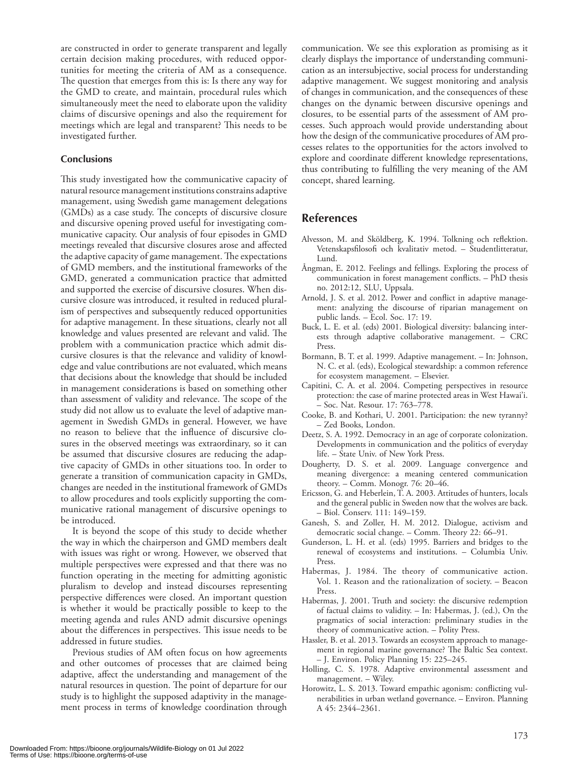are constructed in order to generate transparent and legally certain decision making procedures, with reduced opportunities for meeting the criteria of AM as a consequence. The question that emerges from this is: Is there any way for the GMD to create, and maintain, procedural rules which simultaneously meet the need to elaborate upon the validity claims of discursive openings and also the requirement for meetings which are legal and transparent? This needs to be investigated further.

#### **Conclusions**

This study investigated how the communicative capacity of natural resource management institutions constrains adaptive management, using Swedish game management delegations (GMDs) as a case study. The concepts of discursive closure and discursive opening proved useful for investigating communicative capacity. Our analysis of four episodes in GMD meetings revealed that discursive closures arose and affected the adaptive capacity of game management. The expectations of GMD members, and the institutional frameworks of the GMD, generated a communication practice that admitted and supported the exercise of discursive closures. When discursive closure was introduced, it resulted in reduced pluralism of perspectives and subsequently reduced opportunities for adaptive management. In these situations, clearly not all knowledge and values presented are relevant and valid. The problem with a communication practice which admit discursive closures is that the relevance and validity of knowledge and value contributions are not evaluated, which means that decisions about the knowledge that should be included in management considerations is based on something other than assessment of validity and relevance. The scope of the study did not allow us to evaluate the level of adaptive management in Swedish GMDs in general. However, we have no reason to believe that the influence of discursive closures in the observed meetings was extraordinary, so it can be assumed that discursive closures are reducing the adaptive capacity of GMDs in other situations too. In order to generate a transition of communication capacity in GMDs, changes are needed in the institutional framework of GMDs to allow procedures and tools explicitly supporting the communicative rational management of discursive openings to be introduced.

 It is beyond the scope of this study to decide whether the way in which the chairperson and GMD members dealt with issues was right or wrong. However, we observed that multiple perspectives were expressed and that there was no function operating in the meeting for admitting agonistic pluralism to develop and instead discourses representing perspective differences were closed. An important question is whether it would be practically possible to keep to the meeting agenda and rules AND admit discursive openings about the differences in perspectives. This issue needs to be addressed in future studies.

 Previous studies of AM often focus on how agreements and other outcomes of processes that are claimed being adaptive, affect the understanding and management of the natural resources in question. The point of departure for our study is to highlight the supposed adaptivity in the management process in terms of knowledge coordination through communication. We see this exploration as promising as it clearly displays the importance of understanding communication as an intersubjective, social process for understanding adaptive management. We suggest monitoring and analysis of changes in communication, and the consequences of these changes on the dynamic between discursive openings and closures, to be essential parts of the assessment of AM processes. Such approach would provide understanding about how the design of the communicative procedures of AM processes relates to the opportunities for the actors involved to explore and coordinate different knowledge representations, thus contributing to fulfilling the very meaning of the AM concept, shared learning.

## **References**

- Alvesson, M. and Sköldberg, K. 1994. Tolkning och reflektion. Vetenskapsfilosofi och kvalitativ metod. - Studentlitteratur, Lund
- Ångman, E. 2012. Feelings and fellings. Exploring the process of communication in forest management conflicts. – PhD thesis no. 2012:12, SLU, Uppsala.
- Arnold, J. S. et al. 2012. Power and conflict in adaptive management: analyzing the discourse of riparian management on public lands. – Ecol. Soc. 17: 19.
- Buck, L. E. et al. (eds) 2001. Biological diversity: balancing interests through adaptive collaborative management. – CRC Press.
- Bormann, B. T. et al. 1999. Adaptive management. In: Johnson, N. C. et al. (eds), Ecological stewardship: a common reference for ecosystem management. – Elsevier.
- Capitini, C. A. et al. 2004. Competing perspectives in resource protection: the case of marine protected areas in West Hawai'i. - Soc. Nat. Resour. 17: 763-778.
- Cooke, B. and Kothari, U. 2001. Participation: the new tyranny? – Zed Books, London.
- Deetz, S. A. 1992. Democracy in an age of corporate colonization. Developments in communication and the politics of everyday life. – State Univ. of New York Press.
- Dougherty, D. S. et al. 2009. Language convergence and meaning divergence: a meaning centered communication theory. – Comm. Monogr. 76: 20–46.
- Ericsson, G. and Heberlein, T. A. 2003. Attitudes of hunters, locals and the general public in Sweden now that the wolves are back. – Biol. Conserv. 111: 149 – 159.
- Ganesh, S. and Zoller, H. M. 2012. Dialogue, activism and democratic social change.  $-$  Comm. Theory 22: 66–91.
- Gunderson, L. H. et al. (eds) 1995. Barriers and bridges to the renewal of ecosystems and institutions. – Columbia Univ. Press.
- Habermas, J. 1984. The theory of communicative action. Vol. 1. Reason and the rationalization of society. – Beacon Press.
- Habermas, J. 2001. Truth and society: the discursive redemption of factual claims to validity. – In: Habermas, J. (ed.), On the pragmatics of social interaction: preliminary studies in the theory of communicative action. – Polity Press.
- Hassler, B. et al. 2013. Towards an ecosystem approach to management in regional marine governance? The Baltic Sea context. – J. Environ. Policy Planning 15: 225–245.
- Holling, C. S. 1978. Adaptive environmental assessment and management. – Wiley.
- Horowitz, L. S. 2013. Toward empathic agonism: conflicting vulnerabilities in urban wetland governance. – Environ. Planning A 45: 2344-2361.